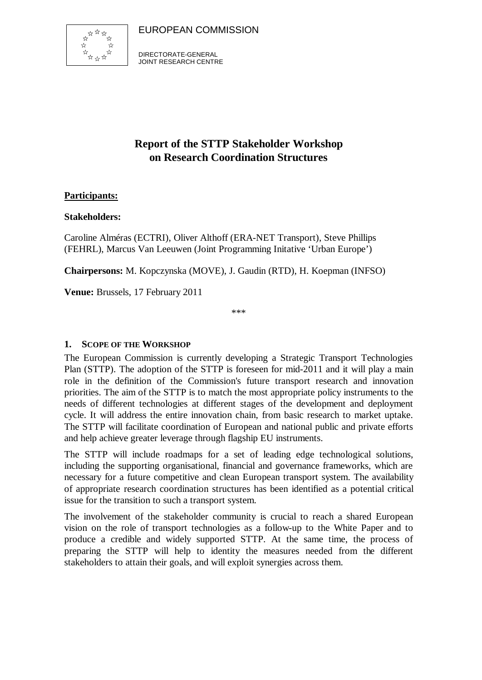EUROPEAN COMMISSION



DIRECTORATE-GENERAL JOINT RESEARCH CENTRE

# **Report of the STTP Stakeholder Workshop on Research Coordination Structures**

# **Participants:**

#### **Stakeholders:**

Caroline Alméras (ECTRI), Oliver Althoff (ERA-NET Transport), Steve Phillips (FEHRL), Marcus Van Leeuwen (Joint Programming Initative 'Urban Europe')

**Chairpersons:** M. Kopczynska (MOVE), J. Gaudin (RTD), H. Koepman (INFSO)

**Venue:** Brussels, 17 February 2011

\*\*\*

#### **1. SCOPE OF THE WORKSHOP**

The European Commission is currently developing a Strategic Transport Technologies Plan (STTP). The adoption of the STTP is foreseen for mid-2011 and it will play a main role in the definition of the Commission's future transport research and innovation priorities. The aim of the STTP is to match the most appropriate policy instruments to the needs of different technologies at different stages of the development and deployment cycle. It will address the entire innovation chain, from basic research to market uptake. The STTP will facilitate coordination of European and national public and private efforts and help achieve greater leverage through flagship EU instruments.

The STTP will include roadmaps for a set of leading edge technological solutions, including the supporting organisational, financial and governance frameworks, which are necessary for a future competitive and clean European transport system. The availability of appropriate research coordination structures has been identified as a potential critical issue for the transition to such a transport system.

The involvement of the stakeholder community is crucial to reach a shared European vision on the role of transport technologies as a follow-up to the White Paper and to produce a credible and widely supported STTP. At the same time, the process of preparing the STTP will help to identity the measures needed from the different stakeholders to attain their goals, and will exploit synergies across them.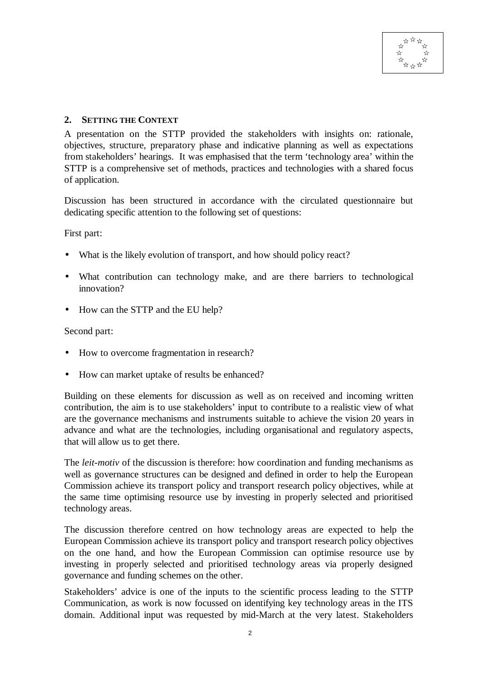

#### **2. SETTING THE CONTEXT**

A presentation on the STTP provided the stakeholders with insights on: rationale, objectives, structure, preparatory phase and indicative planning as well as expectations from stakeholders' hearings. It was emphasised that the term 'technology area' within the STTP is a comprehensive set of methods, practices and technologies with a shared focus of application.

Discussion has been structured in accordance with the circulated questionnaire but dedicating specific attention to the following set of questions:

First part:

- What is the likely evolution of transport, and how should policy react?
- What contribution can technology make, and are there barriers to technological innovation?
- How can the STTP and the EU help?

Second part:

- How to overcome fragmentation in research?
- How can market uptake of results be enhanced?

Building on these elements for discussion as well as on received and incoming written contribution, the aim is to use stakeholders' input to contribute to a realistic view of what are the governance mechanisms and instruments suitable to achieve the vision 20 years in advance and what are the technologies, including organisational and regulatory aspects, that will allow us to get there.

The *leit-motiv* of the discussion is therefore: how coordination and funding mechanisms as well as governance structures can be designed and defined in order to help the European Commission achieve its transport policy and transport research policy objectives, while at the same time optimising resource use by investing in properly selected and prioritised technology areas.

The discussion therefore centred on how technology areas are expected to help the European Commission achieve its transport policy and transport research policy objectives on the one hand, and how the European Commission can optimise resource use by investing in properly selected and prioritised technology areas via properly designed governance and funding schemes on the other.

Stakeholders' advice is one of the inputs to the scientific process leading to the STTP Communication, as work is now focussed on identifying key technology areas in the ITS domain. Additional input was requested by mid-March at the very latest. Stakeholders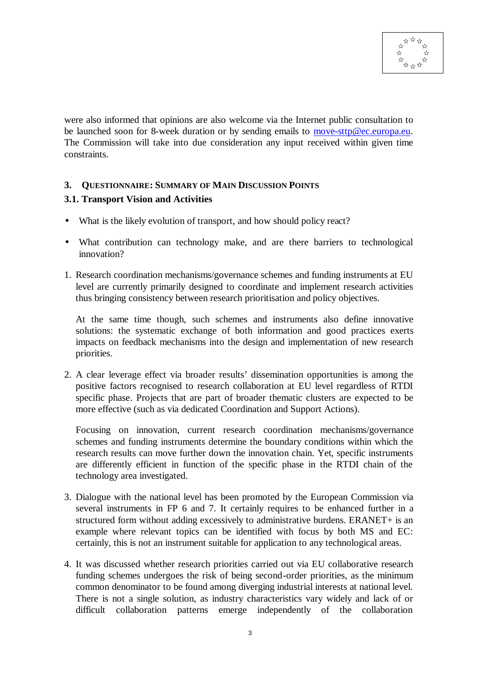

were also informed that opinions are also welcome via the Internet public consultation to be launched soon for 8-week duration or by sending emails to move-sttp@ec.europa.eu. The Commission will take into due consideration any input received within given time constraints.

## **3. QUESTIONNAIRE: SUMMARY OF MAIN DISCUSSION POINTS 3.1. Transport Vision and Activities**

- What is the likely evolution of transport, and how should policy react?
- What contribution can technology make, and are there barriers to technological innovation?
- 1. Research coordination mechanisms/governance schemes and funding instruments at EU level are currently primarily designed to coordinate and implement research activities thus bringing consistency between research prioritisation and policy objectives.

At the same time though, such schemes and instruments also define innovative solutions: the systematic exchange of both information and good practices exerts impacts on feedback mechanisms into the design and implementation of new research priorities.

2. A clear leverage effect via broader results' dissemination opportunities is among the positive factors recognised to research collaboration at EU level regardless of RTDI specific phase. Projects that are part of broader thematic clusters are expected to be more effective (such as via dedicated Coordination and Support Actions).

Focusing on innovation, current research coordination mechanisms/governance schemes and funding instruments determine the boundary conditions within which the research results can move further down the innovation chain. Yet, specific instruments are differently efficient in function of the specific phase in the RTDI chain of the technology area investigated.

- 3. Dialogue with the national level has been promoted by the European Commission via several instruments in FP 6 and 7. It certainly requires to be enhanced further in a structured form without adding excessively to administrative burdens. ERANET+ is an example where relevant topics can be identified with focus by both MS and EC: certainly, this is not an instrument suitable for application to any technological areas.
- 4. It was discussed whether research priorities carried out via EU collaborative research funding schemes undergoes the risk of being second-order priorities, as the minimum common denominator to be found among diverging industrial interests at national level. There is not a single solution, as industry characteristics vary widely and lack of or difficult collaboration patterns emerge independently of the collaboration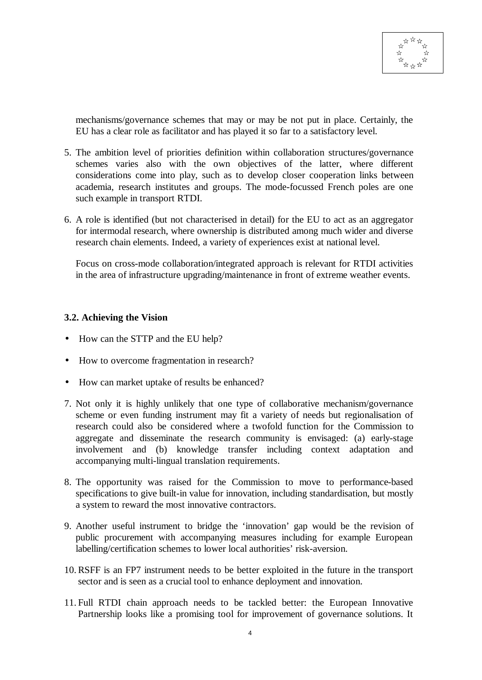

mechanisms/governance schemes that may or may be not put in place. Certainly, the EU has a clear role as facilitator and has played it so far to a satisfactory level.

- 5. The ambition level of priorities definition within collaboration structures/governance schemes varies also with the own objectives of the latter, where different considerations come into play, such as to develop closer cooperation links between academia, research institutes and groups. The mode-focussed French poles are one such example in transport RTDI.
- 6. A role is identified (but not characterised in detail) for the EU to act as an aggregator for intermodal research, where ownership is distributed among much wider and diverse research chain elements. Indeed, a variety of experiences exist at national level.

Focus on cross-mode collaboration/integrated approach is relevant for RTDI activities in the area of infrastructure upgrading/maintenance in front of extreme weather events.

#### **3.2. Achieving the Vision**

- How can the STTP and the EU help?
- How to overcome fragmentation in research?
- How can market uptake of results be enhanced?
- 7. Not only it is highly unlikely that one type of collaborative mechanism/governance scheme or even funding instrument may fit a variety of needs but regionalisation of research could also be considered where a twofold function for the Commission to aggregate and disseminate the research community is envisaged: (a) early-stage involvement and (b) knowledge transfer including context adaptation and accompanying multi-lingual translation requirements.
- 8. The opportunity was raised for the Commission to move to performance-based specifications to give built-in value for innovation, including standardisation, but mostly a system to reward the most innovative contractors.
- 9. Another useful instrument to bridge the 'innovation' gap would be the revision of public procurement with accompanying measures including for example European labelling/certification schemes to lower local authorities' risk-aversion.
- 10. RSFF is an FP7 instrument needs to be better exploited in the future in the transport sector and is seen as a crucial tool to enhance deployment and innovation.
- 11. Full RTDI chain approach needs to be tackled better: the European Innovative Partnership looks like a promising tool for improvement of governance solutions. It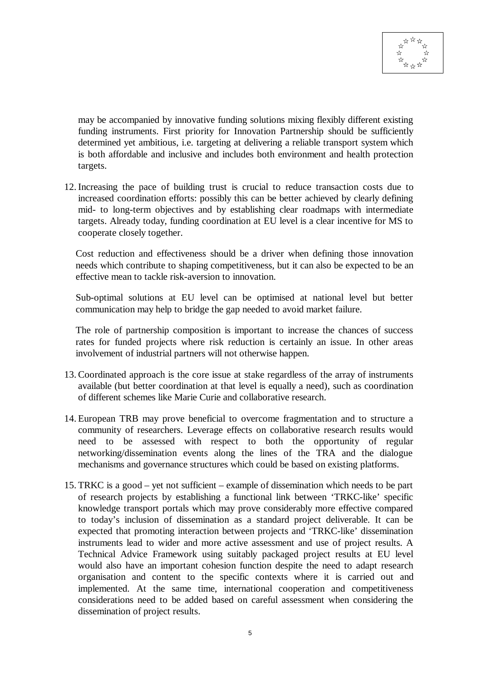

may be accompanied by innovative funding solutions mixing flexibly different existing funding instruments. First priority for Innovation Partnership should be sufficiently determined yet ambitious, i.e. targeting at delivering a reliable transport system which is both affordable and inclusive and includes both environment and health protection targets.

12. Increasing the pace of building trust is crucial to reduce transaction costs due to increased coordination efforts: possibly this can be better achieved by clearly defining mid- to long-term objectives and by establishing clear roadmaps with intermediate targets. Already today, funding coordination at EU level is a clear incentive for MS to cooperate closely together.

Cost reduction and effectiveness should be a driver when defining those innovation needs which contribute to shaping competitiveness, but it can also be expected to be an effective mean to tackle risk-aversion to innovation.

Sub-optimal solutions at EU level can be optimised at national level but better communication may help to bridge the gap needed to avoid market failure.

The role of partnership composition is important to increase the chances of success rates for funded projects where risk reduction is certainly an issue. In other areas involvement of industrial partners will not otherwise happen.

- 13. Coordinated approach is the core issue at stake regardless of the array of instruments available (but better coordination at that level is equally a need), such as coordination of different schemes like Marie Curie and collaborative research.
- 14. European TRB may prove beneficial to overcome fragmentation and to structure a community of researchers. Leverage effects on collaborative research results would need to be assessed with respect to both the opportunity of regular networking/dissemination events along the lines of the TRA and the dialogue mechanisms and governance structures which could be based on existing platforms.
- 15. TRKC is a good yet not sufficient example of dissemination which needs to be part of research projects by establishing a functional link between 'TRKC-like' specific knowledge transport portals which may prove considerably more effective compared to today's inclusion of dissemination as a standard project deliverable. It can be expected that promoting interaction between projects and 'TRKC-like' dissemination instruments lead to wider and more active assessment and use of project results. A Technical Advice Framework using suitably packaged project results at EU level would also have an important cohesion function despite the need to adapt research organisation and content to the specific contexts where it is carried out and implemented. At the same time, international cooperation and competitiveness considerations need to be added based on careful assessment when considering the dissemination of project results.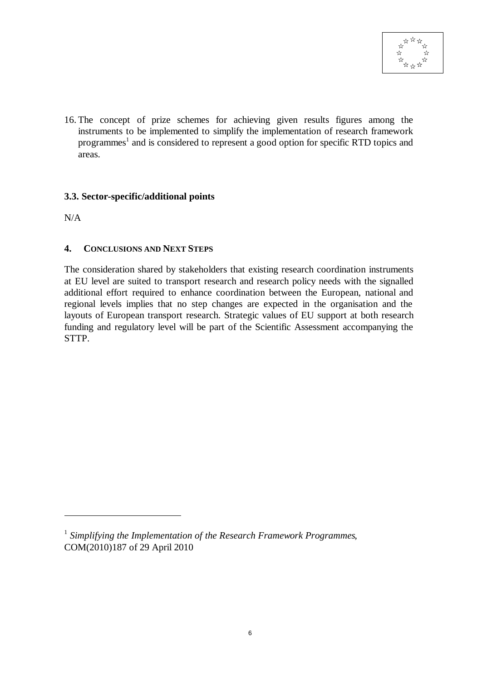

16. The concept of prize schemes for achieving given results figures among the instruments to be implemented to simplify the implementation of research framework programmes<sup>1</sup> and is considered to represent a good option for specific RTD topics and areas.

### **3.3. Sector-specific/additional points**

N/A

 $\overline{a}$ 

### **4. CONCLUSIONS AND NEXT STEPS**

The consideration shared by stakeholders that existing research coordination instruments at EU level are suited to transport research and research policy needs with the signalled additional effort required to enhance coordination between the European, national and regional levels implies that no step changes are expected in the organisation and the layouts of European transport research. Strategic values of EU support at both research funding and regulatory level will be part of the Scientific Assessment accompanying the STTP.

<sup>1</sup> *Simplifying the Implementation of the Research Framework Programmes*, COM(2010)187 of 29 April 2010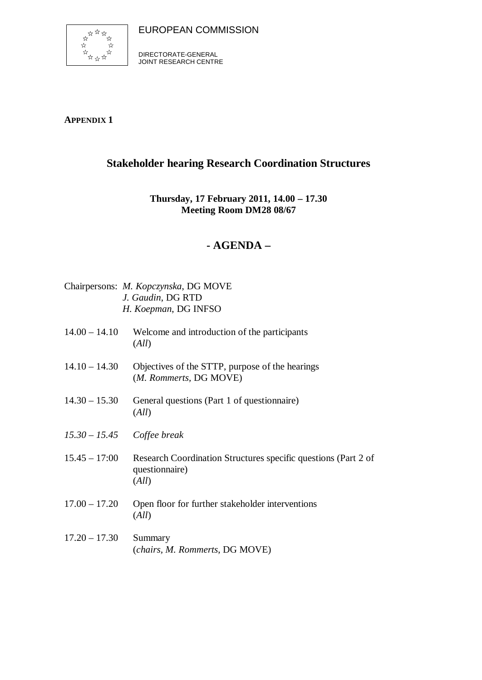



DIRECTORATE-GENERAL JOINT RESEARCH CENTRE

**APPENDIX 1**

# **Stakeholder hearing Research Coordination Structures**

# **Thursday, 17 February 2011, 14.00 – 17.30 Meeting Room DM28 08/67**

# **- AGENDA –**

|                 | Chairpersons: M. Kopczynska, DG MOVE<br>J. Gaudin, DG RTD<br>H. Koepman, DG INFSO         |
|-----------------|-------------------------------------------------------------------------------------------|
| $14.00 - 14.10$ | Welcome and introduction of the participants<br>(All)                                     |
| $14.10 - 14.30$ | Objectives of the STTP, purpose of the hearings<br>(M. Rommerts, DG MOVE)                 |
| $14.30 - 15.30$ | General questions (Part 1 of questionnaire)<br>(All)                                      |
|                 | $15.30 - 15.45$ Coffee break                                                              |
| $15.45 - 17:00$ | Research Coordination Structures specific questions (Part 2 of<br>questionnaire)<br>(All) |
| $17.00 - 17.20$ | Open floor for further stakeholder interventions<br>(All)                                 |
| $17.20 - 17.30$ | Summary<br>(chairs, M. Rommerts, DG MOVE)                                                 |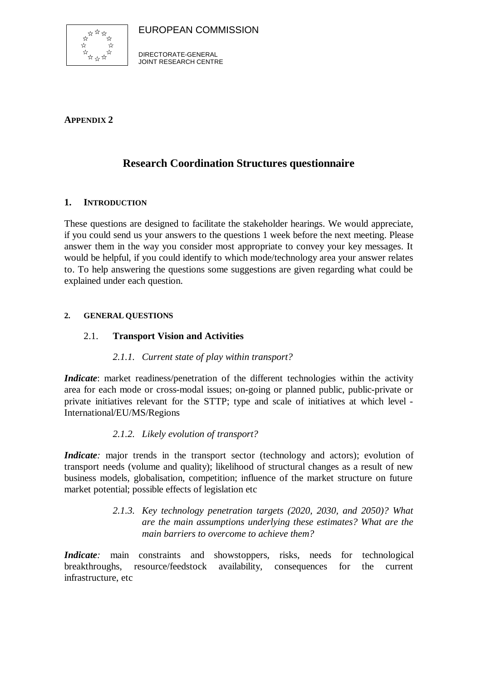



DIRECTORATE-GENERAL JOINT RESEARCH CENTRE

**APPENDIX 2**

# **Research Coordination Structures questionnaire**

### **1. INTRODUCTION**

These questions are designed to facilitate the stakeholder hearings. We would appreciate, if you could send us your answers to the questions 1 week before the next meeting. Please answer them in the way you consider most appropriate to convey your key messages. It would be helpful, if you could identify to which mode/technology area your answer relates to. To help answering the questions some suggestions are given regarding what could be explained under each question.

#### **2. GENERAL QUESTIONS**

### 2.1. **Transport Vision and Activities**

### *2.1.1. Current state of play within transport?*

*Indicate*: market readiness/penetration of the different technologies within the activity area for each mode or cross-modal issues; on-going or planned public, public-private or private initiatives relevant for the STTP; type and scale of initiatives at which level - International/EU/MS/Regions

### *2.1.2. Likely evolution of transport?*

*Indicate*: major trends in the transport sector (technology and actors); evolution of transport needs (volume and quality); likelihood of structural changes as a result of new business models, globalisation, competition; influence of the market structure on future market potential; possible effects of legislation etc

> *2.1.3. Key technology penetration targets (2020, 2030, and 2050)? What are the main assumptions underlying these estimates? What are the main barriers to overcome to achieve them?*

*Indicate*: main constraints and showstoppers, risks, needs for technological breakthroughs, resource/feedstock availability, consequences for the current infrastructure, etc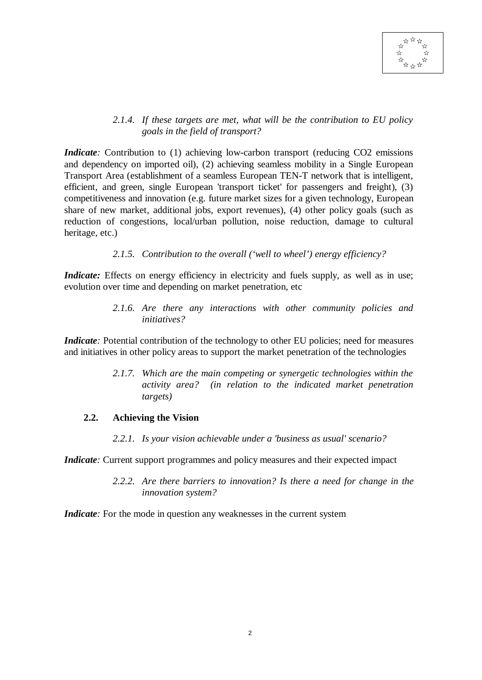

#### *2.1.4. If these targets are met, what will be the contribution to EU policy goals in the field of transport?*

*Indicate*: Contribution to (1) achieving low-carbon transport (reducing CO2 emissions and dependency on imported oil), (2) achieving seamless mobility in a Single European Transport Area (establishment of a seamless European TEN-T network that is intelligent, efficient, and green, single European 'transport ticket' for passengers and freight), (3) competitiveness and innovation (e.g. future market sizes for a given technology, European share of new market, additional jobs, export revenues), (4) other policy goals (such as reduction of congestions, local/urban pollution, noise reduction, damage to cultural heritage, etc.)

#### *2.1.5. Contribution to the overall ('well to wheel') energy efficiency?*

*Indicate:* Effects on energy efficiency in electricity and fuels supply, as well as in use; evolution over time and depending on market penetration, etc

> *2.1.6. Are there any interactions with other community policies and initiatives?*

*Indicate*: Potential contribution of the technology to other EU policies; need for measures and initiatives in other policy areas to support the market penetration of the technologies

> *2.1.7. Which are the main competing or synergetic technologies within the activity area? (in relation to the indicated market penetration targets)*

#### **2.2. Achieving the Vision**

*2.2.1. Is your vision achievable under a 'business as usual' scenario?*

*Indicate*: Current support programmes and policy measures and their expected impact

*2.2.2. Are there barriers to innovation? Is there a need for change in the innovation system?*

*Indicate*: For the mode in question any weaknesses in the current system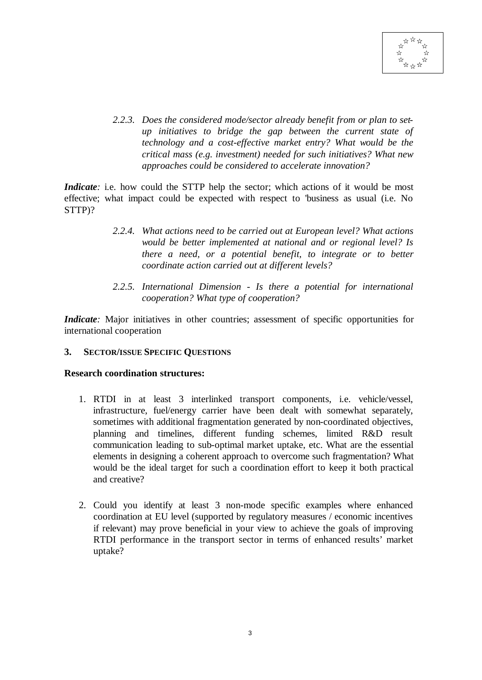

*2.2.3. Does the considered mode/sector already benefit from or plan to setup initiatives to bridge the gap between the current state of technology and a cost-effective market entry? What would be the critical mass (e.g. investment) needed for such initiatives? What new approaches could be considered to accelerate innovation?*

*Indicate*: i.e. how could the STTP help the sector; which actions of it would be most effective; what impact could be expected with respect to 'business as usual (i.e. No STTP)?

- *2.2.4. What actions need to be carried out at European level? What actions would be better implemented at national and or regional level? Is there a need, or a potential benefit, to integrate or to better coordinate action carried out at different levels?*
- *2.2.5. International Dimension Is there a potential for international cooperation? What type of cooperation?*

*Indicate*: Major initiatives in other countries; assessment of specific opportunities for international cooperation

#### **3. SECTOR/ISSUE SPECIFIC QUESTIONS**

#### **Research coordination structures:**

- 1. RTDI in at least 3 interlinked transport components, i.e. vehicle/vessel, infrastructure, fuel/energy carrier have been dealt with somewhat separately, sometimes with additional fragmentation generated by non-coordinated objectives, planning and timelines, different funding schemes, limited R&D result communication leading to sub-optimal market uptake, etc. What are the essential elements in designing a coherent approach to overcome such fragmentation? What would be the ideal target for such a coordination effort to keep it both practical and creative?
- 2. Could you identify at least 3 non-mode specific examples where enhanced coordination at EU level (supported by regulatory measures / economic incentives if relevant) may prove beneficial in your view to achieve the goals of improving RTDI performance in the transport sector in terms of enhanced results' market uptake?